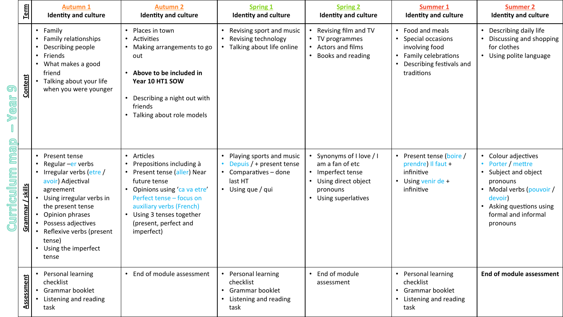|                                         | Term                | <b>Autumn 1</b><br><b>Identity and culture</b>                                                                                                                                                                                                                   | <b>Autumn 2</b><br><b>Identity and culture</b>                                                                                                                                                                                                                            | <b>Spring 1</b><br><b>Identity and culture</b>                                                                  | <b>Spring 2</b><br><b>Identity and culture</b>                                                                            | <b>Summer 1</b><br><b>Identity and culture</b>                                                                                                     | <b>Summer 2</b><br><b>Identity and culture</b>                                                                                                                           |
|-----------------------------------------|---------------------|------------------------------------------------------------------------------------------------------------------------------------------------------------------------------------------------------------------------------------------------------------------|---------------------------------------------------------------------------------------------------------------------------------------------------------------------------------------------------------------------------------------------------------------------------|-----------------------------------------------------------------------------------------------------------------|---------------------------------------------------------------------------------------------------------------------------|----------------------------------------------------------------------------------------------------------------------------------------------------|--------------------------------------------------------------------------------------------------------------------------------------------------------------------------|
| <u>ලා</u><br>Year<br>cul<br><b>Frid</b> | <b>Content</b>      | Family<br>$\bullet$<br>Family relationships<br>Describing people<br>Friends<br>$\bullet$<br>What makes a good<br>$\bullet$<br>friend<br>Talking about your life<br>when you were younger                                                                         | Places in town<br>$\bullet$<br>Activities<br>$\bullet$<br>Making arrangements to go<br>out<br>Above to be included in<br>Year 10 HT1 SOW<br>Describing a night out with<br>friends<br>Talking about role models                                                           | Revising sport and music<br>Revising technology<br>Talking about life online                                    | Revising film and TV<br>• TV programmes<br>• Actors and films<br>• Books and reading                                      | • Food and meals<br>Special occasions<br>involving food<br>Family celebrations<br>$\bullet$<br>Describing festivals and<br>$\bullet$<br>traditions | Describing daily life<br>Discussing and shopping<br>for clothes<br>• Using polite language                                                                               |
|                                         | / skills<br>Grammar | Present tense<br>Regular - er verbs<br>Irregular verbs (etre /<br>avoir) Adjectival<br>agreement<br>Using irregular verbs in<br>the present tense<br>Opinion phrases<br>Possess adjectives<br>Reflexive verbs (present<br>tense)<br>Using the imperfect<br>tense | Articles<br>$\bullet$<br>• Prepositions including à<br>• Present tense (aller) Near<br>future tense<br>Opinions using 'ca va etre'<br>Perfect tense - focus on<br>auxiliary verbs (French)<br>Using 3 tenses together<br>$\bullet$<br>(present, perfect and<br>imperfect) | Playing sports and music<br>Depuis $/$ + present tense<br>• Comparatives - done<br>last HT<br>• Using que / qui | • Synonyms of I love / I<br>am a fan of etc<br>• Imperfect tense<br>Using direct object<br>pronouns<br>Using superlatives | Present tense (boire /<br>prendre) Il faut $+$<br>infinitive<br>Using venir de $+$<br>infinitive                                                   | Colour adjectives<br>Porter / mettre<br>Subject and object<br>pronouns<br>Modal verbs (pouvoir /<br>devoir)<br>Asking questions using<br>formal and informal<br>pronouns |
|                                         | Assessment          | Personal learning<br>checklist<br>Grammar booklet<br>Listening and reading<br>task                                                                                                                                                                               | End of module assessment                                                                                                                                                                                                                                                  | Personal learning<br>checklist<br>• Grammar booklet<br>Listening and reading<br>task                            | • End of module<br>assessment                                                                                             | • Personal learning<br>checklist<br>Grammar booklet<br>$\bullet$<br>Listening and reading<br>$\bullet$<br>task                                     | End of module assessment                                                                                                                                                 |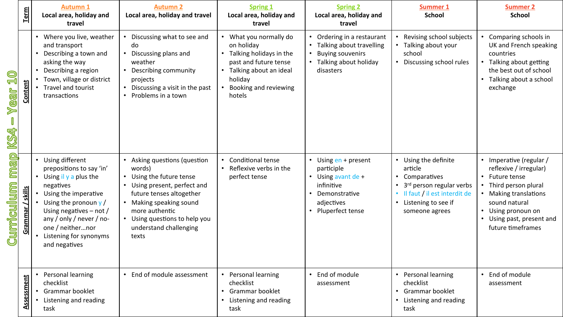|                              | Term              | <b>Autumn 1</b><br>Local area, holiday and<br>travel                                                                                                                                                                                                            | <b>Autumn 2</b><br>Local area, holiday and travel                                                                                                                                                                                     | <b>Spring 1</b><br>Local area, holiday and<br>travel                                                                                                                   | <b>Spring 2</b><br>Local area, holiday and<br>travel                                                                  | <b>Summer 1</b><br><b>School</b>                                                                                                                           | <b>Summer 2</b><br><b>School</b>                                                                                                                                                                             |
|------------------------------|-------------------|-----------------------------------------------------------------------------------------------------------------------------------------------------------------------------------------------------------------------------------------------------------------|---------------------------------------------------------------------------------------------------------------------------------------------------------------------------------------------------------------------------------------|------------------------------------------------------------------------------------------------------------------------------------------------------------------------|-----------------------------------------------------------------------------------------------------------------------|------------------------------------------------------------------------------------------------------------------------------------------------------------|--------------------------------------------------------------------------------------------------------------------------------------------------------------------------------------------------------------|
| Q<br>L<br><b>Mear</b><br>KS4 | Content           | • Where you live, weather<br>and transport<br>• Describing a town and<br>asking the way<br>Describing a region<br>Town, village or district<br>Travel and tourist<br>transactions                                                                               | Discussing what to see and<br>do<br>Discussing plans and<br>weather<br>Describing community<br>projects<br>Discussing a visit in the past<br>Problems in a town                                                                       | • What you normally do<br>on holiday<br>• Talking holidays in the<br>past and future tense<br>• Talking about an ideal<br>holiday<br>• Booking and reviewing<br>hotels | Ordering in a restaurant<br>Talking about travelling<br><b>Buying souvenirs</b><br>Talking about holiday<br>disasters | Revising school subjects<br>• Talking about your<br>school<br>• Discussing school rules                                                                    | • Comparing schools in<br>UK and French speaking<br>countries<br>• Talking about getting<br>the best out of school<br>• Talking about a school<br>exchange                                                   |
| map<br>Curriculum            | / skills<br>Gramm | • Using different<br>prepositions to say 'in'<br>• Using il y a plus the<br>negatives<br>Using the imperative<br>Using the pronoun $y/$<br>Using negatives $-$ not /<br>any / only / never / no-<br>one / neithernor<br>Listening for synonyms<br>and negatives | Asking questions (question<br>words)<br>Using the future tense<br>Using present, perfect and<br>future tenses altogether<br>Making speaking sound<br>more authentic<br>Using questions to help you<br>understand challenging<br>texts | Conditional tense<br>• Reflexive verbs in the<br>perfect tense                                                                                                         | Using en + present<br>participle<br>Using avant de +<br>infinitive<br>Demonstrative<br>adjectives<br>Pluperfect tense | • Using the definite<br>article<br>• Comparatives<br>3rd person regular verbs<br>• Il faut / il est interdit de<br>• Listening to see if<br>someone agrees | • Imperative (regular /<br>reflexive / irregular)<br>• Future tense<br>Third person plural<br>• Making translations<br>sound natural<br>• Using pronoun on<br>• Using past, present and<br>future timeframes |
|                              | Assessment        | Personal learning<br>checklist<br>Grammar booklet<br>Listening and reading<br>task                                                                                                                                                                              | End of module assessment                                                                                                                                                                                                              | • Personal learning<br>checklist<br>• Grammar booklet<br>• Listening and reading<br>task                                                                               | End of module<br>assessment                                                                                           | • Personal learning<br>checklist<br>• Grammar booklet<br>• Listening and reading<br>task                                                                   | • End of module<br>assessment                                                                                                                                                                                |